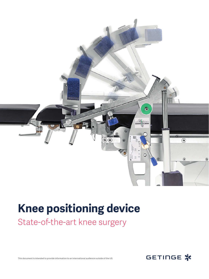

## **Knee positioning device**

State-of-the-art knee surgery



This document is intended to provide information to an international audience outside of the US.